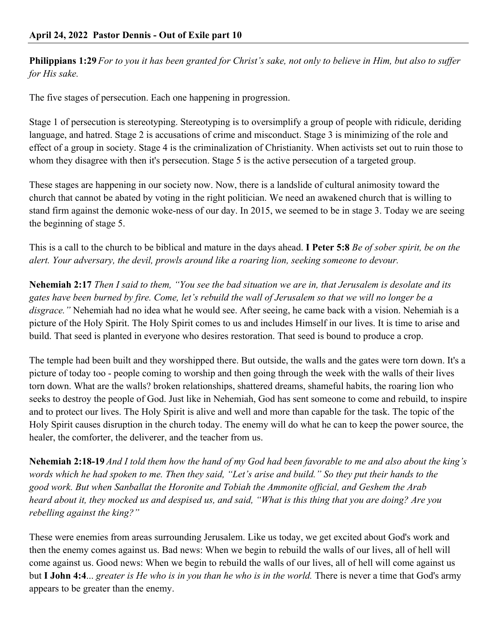**Philippians 1:29** *For to you it has been granted for Christ's sake, not only to believe in Him, but also to suffer for His sake.*

The five stages of persecution. Each one happening in progression.

Stage 1 of persecution is stereotyping. Stereotyping is to oversimplify a group of people with ridicule, deriding language, and hatred. Stage 2 is accusations of crime and misconduct. Stage 3 is minimizing of the role and effect of a group in society. Stage 4 is the criminalization of Christianity. When activists set out to ruin those to whom they disagree with then it's persecution. Stage 5 is the active persecution of a targeted group.

These stages are happening in our society now. Now, there is a landslide of cultural animosity toward the church that cannot be abated by voting in the right politician. We need an awakened church that is willing to stand firm against the demonic woke-ness of our day. In 2015, we seemed to be in stage 3. Today we are seeing the beginning of stage 5.

This is a call to the church to be biblical and mature in the days ahead. **I Peter 5:8** *Be of sober spirit, be on the alert. Your adversary, the devil, prowls around like a roaring lion, seeking someone to devour.*

**Nehemiah 2:17** *Then I said to them, "You see the bad situation we are in, that Jerusalem is desolate and its gates have been burned by fire. Come, let's rebuild the wall of Jerusalem so that we will no longer be a disgrace."* Nehemiah had no idea what he would see. After seeing, he came back with a vision. Nehemiah is a picture of the Holy Spirit. The Holy Spirit comes to us and includes Himself in our lives. It is time to arise and build. That seed is planted in everyone who desires restoration. That seed is bound to produce a crop.

The temple had been built and they worshipped there. But outside, the walls and the gates were torn down. It's a picture of today too - people coming to worship and then going through the week with the walls of their lives torn down. What are the walls? broken relationships, shattered dreams, shameful habits, the roaring lion who seeks to destroy the people of God. Just like in Nehemiah, God has sent someone to come and rebuild, to inspire and to protect our lives. The Holy Spirit is alive and well and more than capable for the task. The topic of the Holy Spirit causes disruption in the church today. The enemy will do what he can to keep the power source, the healer, the comforter, the deliverer, and the teacher from us.

**Nehemiah 2:18-19** *And I told them how the hand of my God had been favorable to me and also about the king's words which he had spoken to me. Then they said, "Let's arise and build." So they put their hands to the good work. But when Sanballat the Horonite and Tobiah the Ammonite official, and Geshem the Arab heard about it, they mocked us and despised us, and said, "What is this thing that you are doing? Are you rebelling against the king?"*

These were enemies from areas surrounding Jerusalem. Like us today, we get excited about God's work and then the enemy comes against us. Bad news: When we begin to rebuild the walls of our lives, all of hell will come against us. Good news: When we begin to rebuild the walls of our lives, all of hell will come against us but **I John 4:4**... *greater is He who is in you than he who is in the world.* There is never a time that God's army appears to be greater than the enemy.